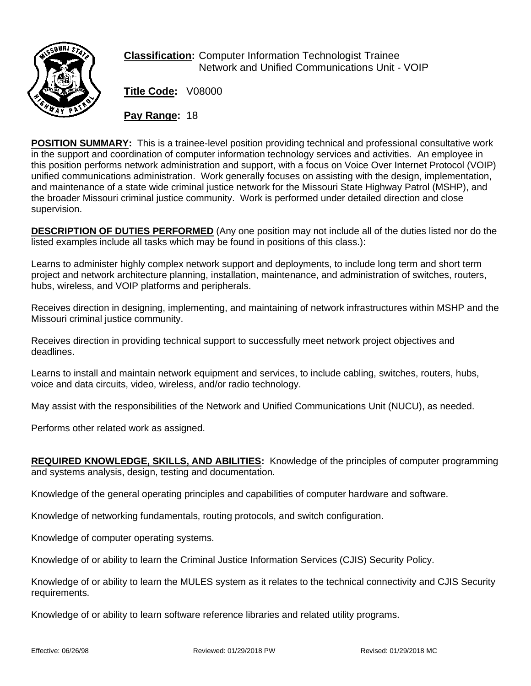

**Classification:** Computer Information Technologist Trainee Network and Unified Communications Unit - VOIP

**Title Code:** V08000

**Pay Range:** 18

**POSITION SUMMARY:** This is a trainee-level position providing technical and professional consultative work in the support and coordination of computer information technology services and activities. An employee in this position performs network administration and support, with a focus on Voice Over Internet Protocol (VOIP) unified communications administration. Work generally focuses on assisting with the design, implementation, and maintenance of a state wide criminal justice network for the Missouri State Highway Patrol (MSHP), and the broader Missouri criminal justice community. Work is performed under detailed direction and close supervision.

**DESCRIPTION OF DUTIES PERFORMED** (Any one position may not include all of the duties listed nor do the listed examples include all tasks which may be found in positions of this class.):

Learns to administer highly complex network support and deployments, to include long term and short term project and network architecture planning, installation, maintenance, and administration of switches, routers, hubs, wireless, and VOIP platforms and peripherals.

Receives direction in designing, implementing, and maintaining of network infrastructures within MSHP and the Missouri criminal justice community.

Receives direction in providing technical support to successfully meet network project objectives and deadlines.

Learns to install and maintain network equipment and services, to include cabling, switches, routers, hubs, voice and data circuits, video, wireless, and/or radio technology.

May assist with the responsibilities of the Network and Unified Communications Unit (NUCU), as needed.

Performs other related work as assigned.

**REQUIRED KNOWLEDGE, SKILLS, AND ABILITIES:** Knowledge of the principles of computer programming and systems analysis, design, testing and documentation.

Knowledge of the general operating principles and capabilities of computer hardware and software.

Knowledge of networking fundamentals, routing protocols, and switch configuration.

Knowledge of computer operating systems.

Knowledge of or ability to learn the Criminal Justice Information Services (CJIS) Security Policy.

Knowledge of or ability to learn the MULES system as it relates to the technical connectivity and CJIS Security requirements.

Knowledge of or ability to learn software reference libraries and related utility programs.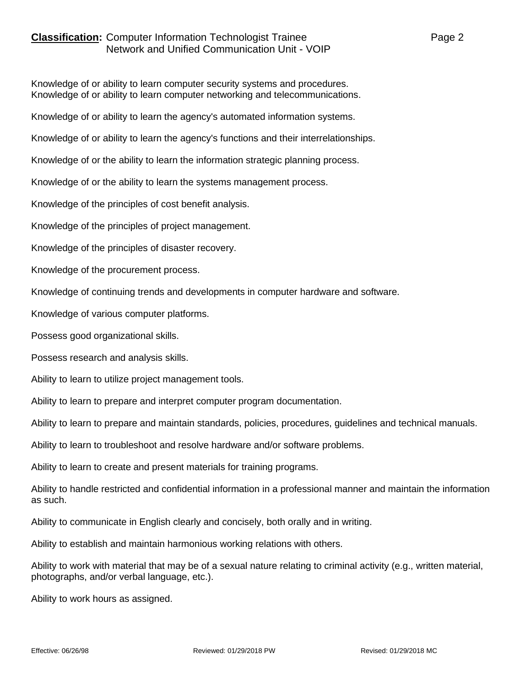## **Classification:** Computer Information Technologist Trainee **Page 2** Page 2 Network and Unified Communication Unit - VOIP

Knowledge of or ability to learn computer security systems and procedures. Knowledge of or ability to learn computer networking and telecommunications.

Knowledge of or ability to learn the agency's automated information systems.

Knowledge of or ability to learn the agency's functions and their interrelationships.

Knowledge of or the ability to learn the information strategic planning process.

Knowledge of or the ability to learn the systems management process.

Knowledge of the principles of cost benefit analysis.

Knowledge of the principles of project management.

Knowledge of the principles of disaster recovery.

Knowledge of the procurement process.

Knowledge of continuing trends and developments in computer hardware and software.

Knowledge of various computer platforms.

Possess good organizational skills.

Possess research and analysis skills.

Ability to learn to utilize project management tools.

Ability to learn to prepare and interpret computer program documentation.

Ability to learn to prepare and maintain standards, policies, procedures, guidelines and technical manuals.

Ability to learn to troubleshoot and resolve hardware and/or software problems.

Ability to learn to create and present materials for training programs.

Ability to handle restricted and confidential information in a professional manner and maintain the information as such.

Ability to communicate in English clearly and concisely, both orally and in writing.

Ability to establish and maintain harmonious working relations with others.

Ability to work with material that may be of a sexual nature relating to criminal activity (e.g., written material, photographs, and/or verbal language, etc.).

Ability to work hours as assigned.